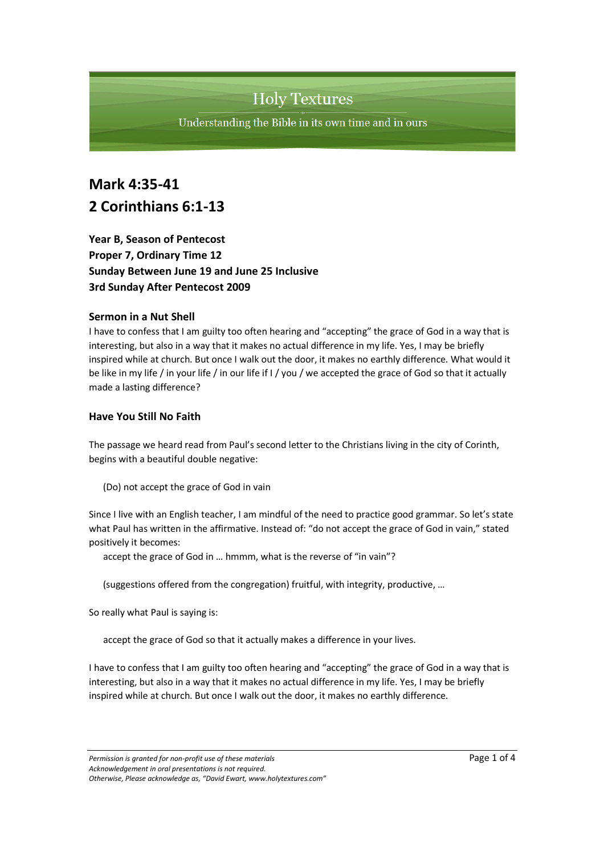Understanding the Bible in its own time and in ours

## **Mark 4:35-41 2 Corinthians 6:1-13**

**Year B, Season of Pentecost Proper 7, Ordinary Time 12 Sunday Between June 19 and June 25 Inclusive 3rd Sunday After Pentecost 2009**

#### **Sermon in a Nut Shell**

I have to confess that I am guilty too often hearing and "accepting" the grace of God in a way that is interesting, but also in a way that it makes no actual difference in my life. Yes, I may be briefly inspired while at church. But once I walk out the door, it makes no earthly difference. What would it be like in my life / in your life / in our life if I / you / we accepted the grace of God so that it actually made a lasting difference?

#### **Have You Still No Faith**

The passage we heard read from Paul's second letter to the Christians living in the city of Corinth, begins with a beautiful double negative:

(Do) not accept the grace of God in vain

Since I live with an English teacher, I am mindful of the need to practice good grammar. So let's state what Paul has written in the affirmative. Instead of: "do not accept the grace of God in vain," stated positively it becomes:

accept the grace of God in … hmmm, what is the reverse of "in vain"?

(suggestions offered from the congregation) fruitful, with integrity, productive, …

So really what Paul is saying is:

accept the grace of God so that it actually makes a difference in your lives.

I have to confess that I am guilty too often hearing and "accepting" the grace of God in a way that is interesting, but also in a way that it makes no actual difference in my life. Yes, I may be briefly inspired while at church. But once I walk out the door, it makes no earthly difference.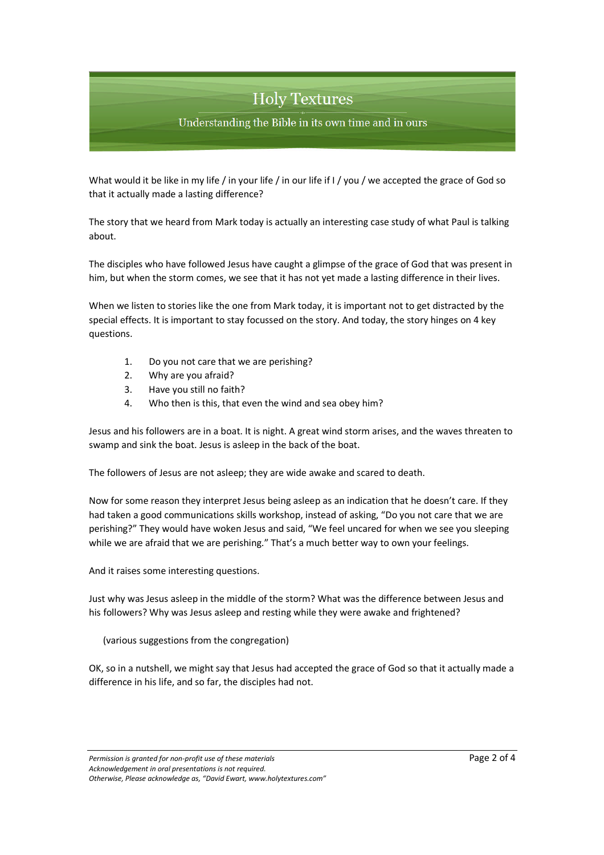Understanding the Bible in its own time and in ours

What would it be like in my life / in your life / in our life if I / you / we accepted the grace of God so that it actually made a lasting difference?

The story that we heard from Mark today is actually an interesting case study of what Paul is talking about.

The disciples who have followed Jesus have caught a glimpse of the grace of God that was present in him, but when the storm comes, we see that it has not yet made a lasting difference in their lives.

When we listen to stories like the one from Mark today, it is important not to get distracted by the special effects. It is important to stay focussed on the story. And today, the story hinges on 4 key questions.

- 1. Do you not care that we are perishing?
- 2. Why are you afraid?
- 3. Have you still no faith?
- 4. Who then is this, that even the wind and sea obey him?

Jesus and his followers are in a boat. It is night. A great wind storm arises, and the waves threaten to swamp and sink the boat. Jesus is asleep in the back of the boat.

The followers of Jesus are not asleep; they are wide awake and scared to death.

Now for some reason they interpret Jesus being asleep as an indication that he doesn't care. If they had taken a good communications skills workshop, instead of asking, "Do you not care that we are perishing?" They would have woken Jesus and said, "We feel uncared for when we see you sleeping while we are afraid that we are perishing." That's a much better way to own your feelings.

And it raises some interesting questions.

Just why was Jesus asleep in the middle of the storm? What was the difference between Jesus and his followers? Why was Jesus asleep and resting while they were awake and frightened?

(various suggestions from the congregation)

OK, so in a nutshell, we might say that Jesus had accepted the grace of God so that it actually made a difference in his life, and so far, the disciples had not.

*Permission is granted for non-profit use of these materials* Page 2 of 4 *Acknowledgement in oral presentations is not required. Otherwise, Please acknowledge as, "David Ewart, www.holytextures.com"*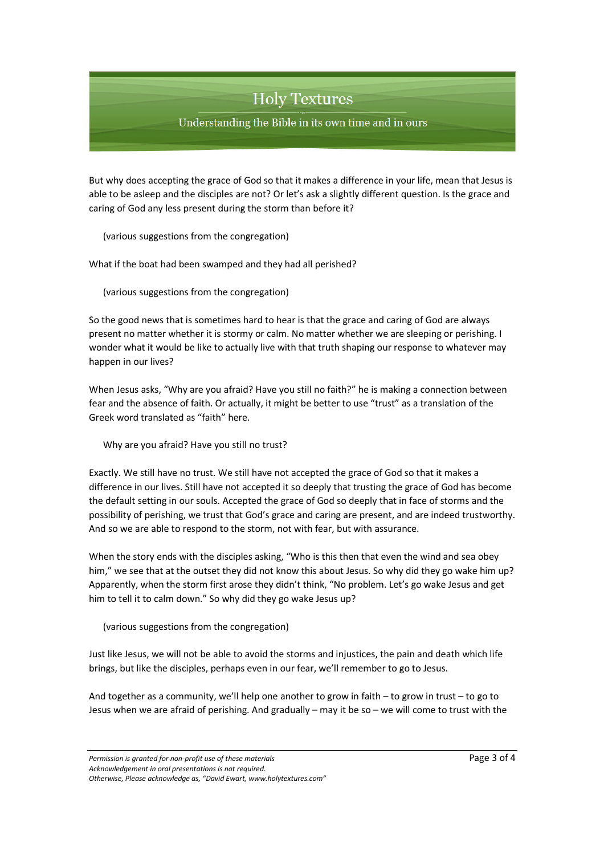Understanding the Bible in its own time and in ours

But why does accepting the grace of God so that it makes a difference in your life, mean that Jesus is able to be asleep and the disciples are not? Or let's ask a slightly different question. Is the grace and caring of God any less present during the storm than before it?

(various suggestions from the congregation)

What if the boat had been swamped and they had all perished?

(various suggestions from the congregation)

So the good news that is sometimes hard to hear is that the grace and caring of God are always present no matter whether it is stormy or calm. No matter whether we are sleeping or perishing. I wonder what it would be like to actually live with that truth shaping our response to whatever may happen in our lives?

When Jesus asks, "Why are you afraid? Have you still no faith?" he is making a connection between fear and the absence of faith. Or actually, it might be better to use "trust" as a translation of the Greek word translated as "faith" here.

Why are you afraid? Have you still no trust?

Exactly. We still have no trust. We still have not accepted the grace of God so that it makes a difference in our lives. Still have not accepted it so deeply that trusting the grace of God has become the default setting in our souls. Accepted the grace of God so deeply that in face of storms and the possibility of perishing, we trust that God's grace and caring are present, and are indeed trustworthy. And so we are able to respond to the storm, not with fear, but with assurance.

When the story ends with the disciples asking, "Who is this then that even the wind and sea obey him," we see that at the outset they did not know this about Jesus. So why did they go wake him up? Apparently, when the storm first arose they didn't think, "No problem. Let's go wake Jesus and get him to tell it to calm down." So why did they go wake Jesus up?

(various suggestions from the congregation)

Just like Jesus, we will not be able to avoid the storms and injustices, the pain and death which life brings, but like the disciples, perhaps even in our fear, we'll remember to go to Jesus.

And together as a community, we'll help one another to grow in faith – to grow in trust – to go to Jesus when we are afraid of perishing. And gradually – may it be so – we will come to trust with the

*Permission is granted for non-profit use of these materials* Page 3 of 4 *Acknowledgement in oral presentations is not required. Otherwise, Please acknowledge as, "David Ewart, www.holytextures.com"*